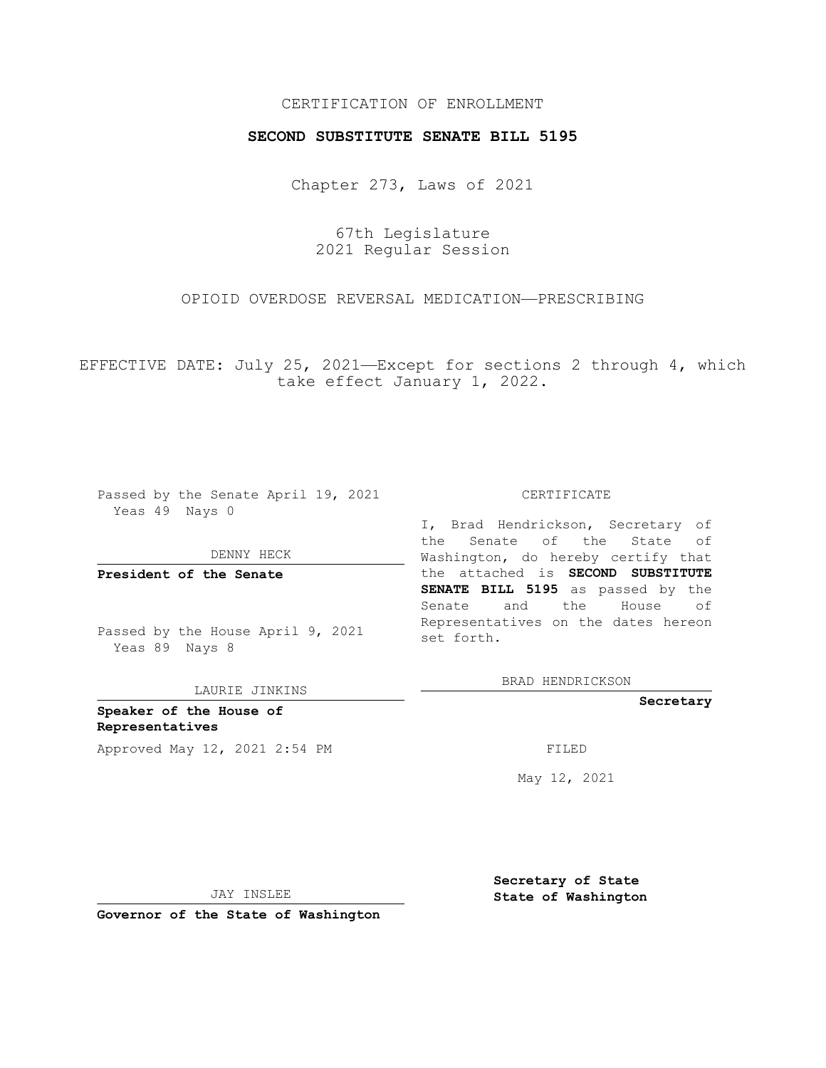## CERTIFICATION OF ENROLLMENT

### **SECOND SUBSTITUTE SENATE BILL 5195**

Chapter 273, Laws of 2021

67th Legislature 2021 Regular Session

## OPIOID OVERDOSE REVERSAL MEDICATION—PRESCRIBING

EFFECTIVE DATE: July 25, 2021—Except for sections 2 through 4, which take effect January 1, 2022.

Passed by the Senate April 19, 2021 Yeas 49 Nays 0

DENNY HECK

**President of the Senate**

Passed by the House April 9, 2021 Yeas 89 Nays 8

LAURIE JINKINS

**Speaker of the House of Representatives** Approved May 12, 2021 2:54 PM FILED

#### CERTIFICATE

I, Brad Hendrickson, Secretary of the Senate of the State of Washington, do hereby certify that the attached is **SECOND SUBSTITUTE SENATE BILL 5195** as passed by the Senate and the House of Representatives on the dates hereon set forth.

BRAD HENDRICKSON

**Secretary**

May 12, 2021

JAY INSLEE

**Secretary of State State of Washington**

**Governor of the State of Washington**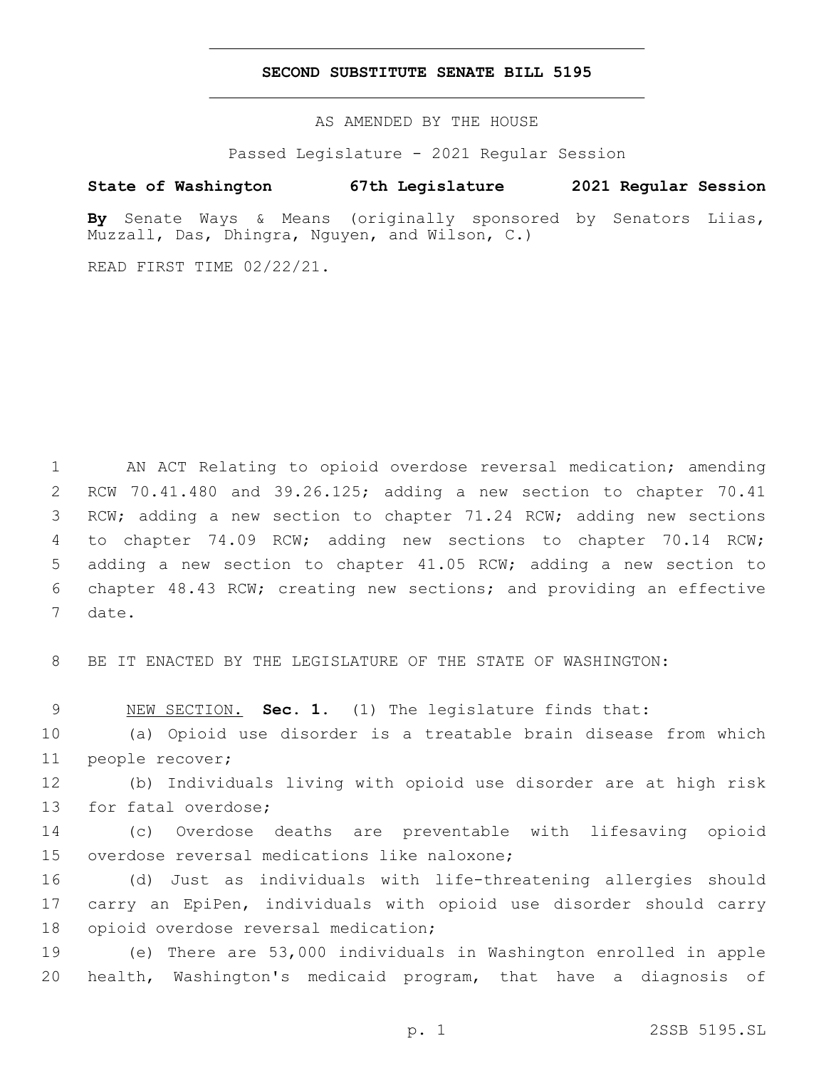### **SECOND SUBSTITUTE SENATE BILL 5195**

AS AMENDED BY THE HOUSE

Passed Legislature - 2021 Regular Session

# **State of Washington 67th Legislature 2021 Regular Session**

**By** Senate Ways & Means (originally sponsored by Senators Liias, Muzzall, Das, Dhingra, Nguyen, and Wilson, C.)

READ FIRST TIME 02/22/21.

 AN ACT Relating to opioid overdose reversal medication; amending RCW 70.41.480 and 39.26.125; adding a new section to chapter 70.41 3 RCW; adding a new section to chapter 71.24 RCW; adding new sections to chapter 74.09 RCW; adding new sections to chapter 70.14 RCW; adding a new section to chapter 41.05 RCW; adding a new section to chapter 48.43 RCW; creating new sections; and providing an effective 7 date.

8 BE IT ENACTED BY THE LEGISLATURE OF THE STATE OF WASHINGTON:

9 NEW SECTION. **Sec. 1.** (1) The legislature finds that:

10 (a) Opioid use disorder is a treatable brain disease from which 11 people recover;

12 (b) Individuals living with opioid use disorder are at high risk 13 for fatal overdose;

14 (c) Overdose deaths are preventable with lifesaving opioid 15 overdose reversal medications like naloxone;

16 (d) Just as individuals with life-threatening allergies should 17 carry an EpiPen, individuals with opioid use disorder should carry 18 opioid overdose reversal medication;

19 (e) There are 53,000 individuals in Washington enrolled in apple 20 health, Washington's medicaid program, that have a diagnosis of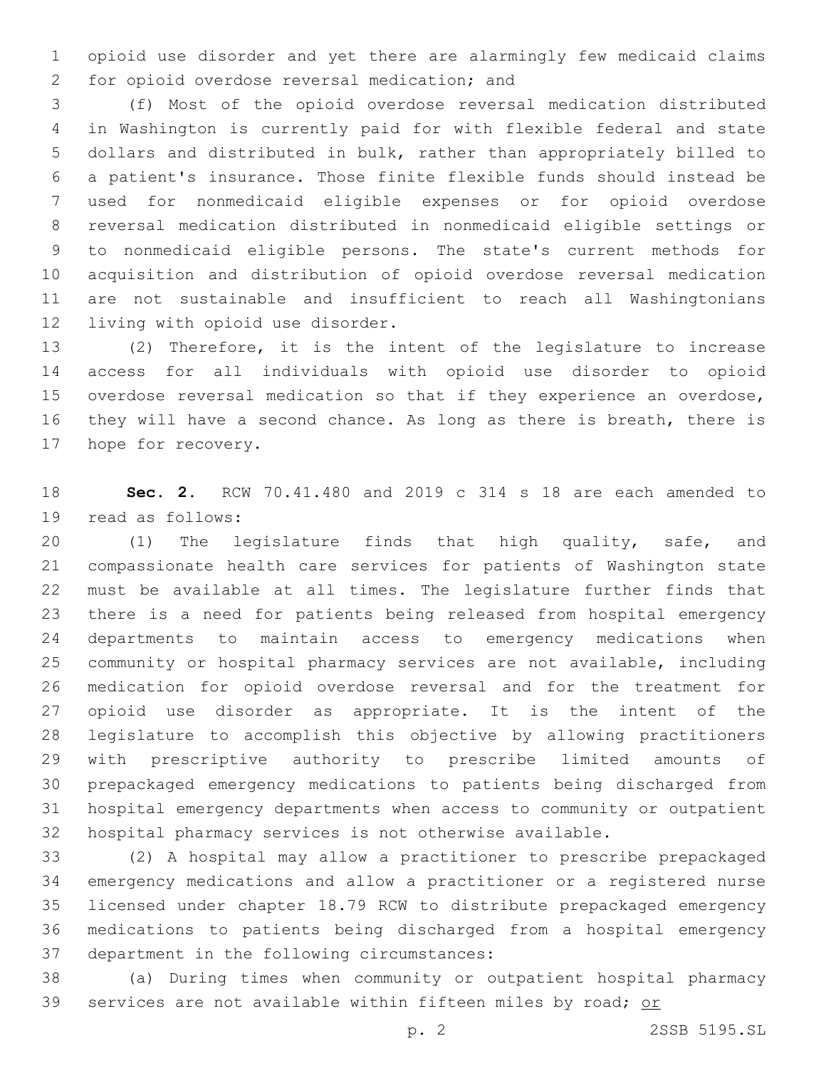opioid use disorder and yet there are alarmingly few medicaid claims for opioid overdose reversal medication; and2

 (f) Most of the opioid overdose reversal medication distributed in Washington is currently paid for with flexible federal and state dollars and distributed in bulk, rather than appropriately billed to a patient's insurance. Those finite flexible funds should instead be used for nonmedicaid eligible expenses or for opioid overdose reversal medication distributed in nonmedicaid eligible settings or to nonmedicaid eligible persons. The state's current methods for acquisition and distribution of opioid overdose reversal medication are not sustainable and insufficient to reach all Washingtonians 12 living with opioid use disorder.

 (2) Therefore, it is the intent of the legislature to increase access for all individuals with opioid use disorder to opioid overdose reversal medication so that if they experience an overdose, they will have a second chance. As long as there is breath, there is 17 hope for recovery.

 **Sec. 2.** RCW 70.41.480 and 2019 c 314 s 18 are each amended to 19 read as follows:

 (1) The legislature finds that high quality, safe, and compassionate health care services for patients of Washington state must be available at all times. The legislature further finds that there is a need for patients being released from hospital emergency departments to maintain access to emergency medications when community or hospital pharmacy services are not available, including medication for opioid overdose reversal and for the treatment for opioid use disorder as appropriate. It is the intent of the legislature to accomplish this objective by allowing practitioners with prescriptive authority to prescribe limited amounts of prepackaged emergency medications to patients being discharged from hospital emergency departments when access to community or outpatient hospital pharmacy services is not otherwise available.

 (2) A hospital may allow a practitioner to prescribe prepackaged emergency medications and allow a practitioner or a registered nurse licensed under chapter 18.79 RCW to distribute prepackaged emergency medications to patients being discharged from a hospital emergency 37 department in the following circumstances:

 (a) During times when community or outpatient hospital pharmacy services are not available within fifteen miles by road; or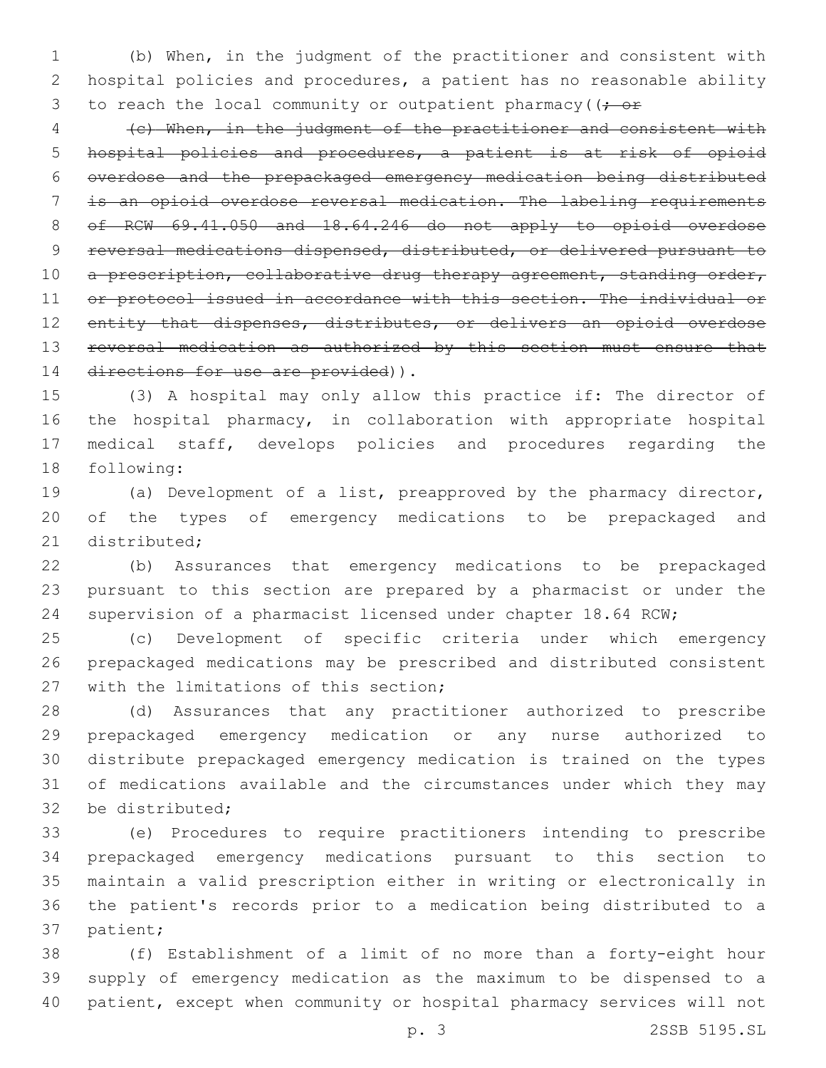(b) When, in the judgment of the practitioner and consistent with hospital policies and procedures, a patient has no reasonable ability 3 to reach the local community or outpatient pharmacy ( $(-e^+e^-)$ 

 (c) When, in the judgment of the practitioner and consistent with hospital policies and procedures, a patient is at risk of opioid overdose and the prepackaged emergency medication being distributed is an opioid overdose reversal medication. The labeling requirements of RCW 69.41.050 and 18.64.246 do not apply to opioid overdose reversal medications dispensed, distributed, or delivered pursuant to 10 a prescription, collaborative drug therapy agreement, standing order, 11 or protocol issued in accordance with this section. The individual or 12 entity that dispenses, distributes, or delivers an opioid overdose 13 reversal medication as authorized by this section must ensure that 14 directions for use are provided)).

 (3) A hospital may only allow this practice if: The director of the hospital pharmacy, in collaboration with appropriate hospital medical staff, develops policies and procedures regarding the 18 following:

 (a) Development of a list, preapproved by the pharmacy director, of the types of emergency medications to be prepackaged and 21 distributed:

 (b) Assurances that emergency medications to be prepackaged pursuant to this section are prepared by a pharmacist or under the supervision of a pharmacist licensed under chapter 18.64 RCW;

 (c) Development of specific criteria under which emergency prepackaged medications may be prescribed and distributed consistent 27 with the limitations of this section;

 (d) Assurances that any practitioner authorized to prescribe prepackaged emergency medication or any nurse authorized to distribute prepackaged emergency medication is trained on the types of medications available and the circumstances under which they may 32 be distributed:

 (e) Procedures to require practitioners intending to prescribe prepackaged emergency medications pursuant to this section to maintain a valid prescription either in writing or electronically in the patient's records prior to a medication being distributed to a 37 patient;

 (f) Establishment of a limit of no more than a forty-eight hour supply of emergency medication as the maximum to be dispensed to a patient, except when community or hospital pharmacy services will not

p. 3 2SSB 5195.SL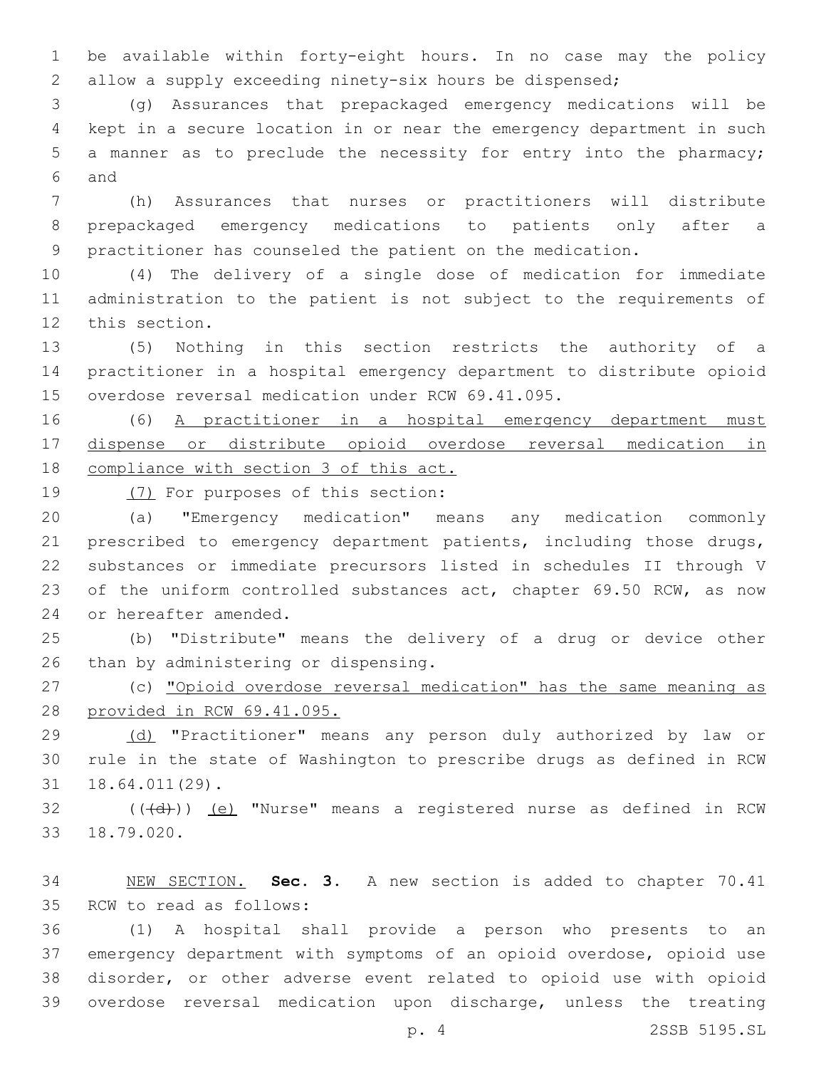be available within forty-eight hours. In no case may the policy allow a supply exceeding ninety-six hours be dispensed;

 (g) Assurances that prepackaged emergency medications will be kept in a secure location in or near the emergency department in such a manner as to preclude the necessity for entry into the pharmacy; and6

 (h) Assurances that nurses or practitioners will distribute prepackaged emergency medications to patients only after a practitioner has counseled the patient on the medication.

 (4) The delivery of a single dose of medication for immediate administration to the patient is not subject to the requirements of 12 this section.

 (5) Nothing in this section restricts the authority of a practitioner in a hospital emergency department to distribute opioid 15 overdose reversal medication under RCW 69.41.095.

 (6) A practitioner in a hospital emergency department must dispense or distribute opioid overdose reversal medication in compliance with section 3 of this act.

19 (7) For purposes of this section:

 (a) "Emergency medication" means any medication commonly prescribed to emergency department patients, including those drugs, substances or immediate precursors listed in schedules II through V 23 of the uniform controlled substances act, chapter 69.50 RCW, as now 24 or hereafter amended.

 (b) "Distribute" means the delivery of a drug or device other 26 than by administering or dispensing.

 (c) "Opioid overdose reversal medication" has the same meaning as provided in RCW 69.41.095.

 (d) "Practitioner" means any person duly authorized by law or rule in the state of Washington to prescribe drugs as defined in RCW 18.64.011(29).31

32 (((+d))) (e) "Nurse" means a registered nurse as defined in RCW 18.79.020.33

 NEW SECTION. **Sec. 3.** A new section is added to chapter 70.41 35 RCW to read as follows:

 (1) A hospital shall provide a person who presents to an emergency department with symptoms of an opioid overdose, opioid use disorder, or other adverse event related to opioid use with opioid overdose reversal medication upon discharge, unless the treating

p. 4 2SSB 5195.SL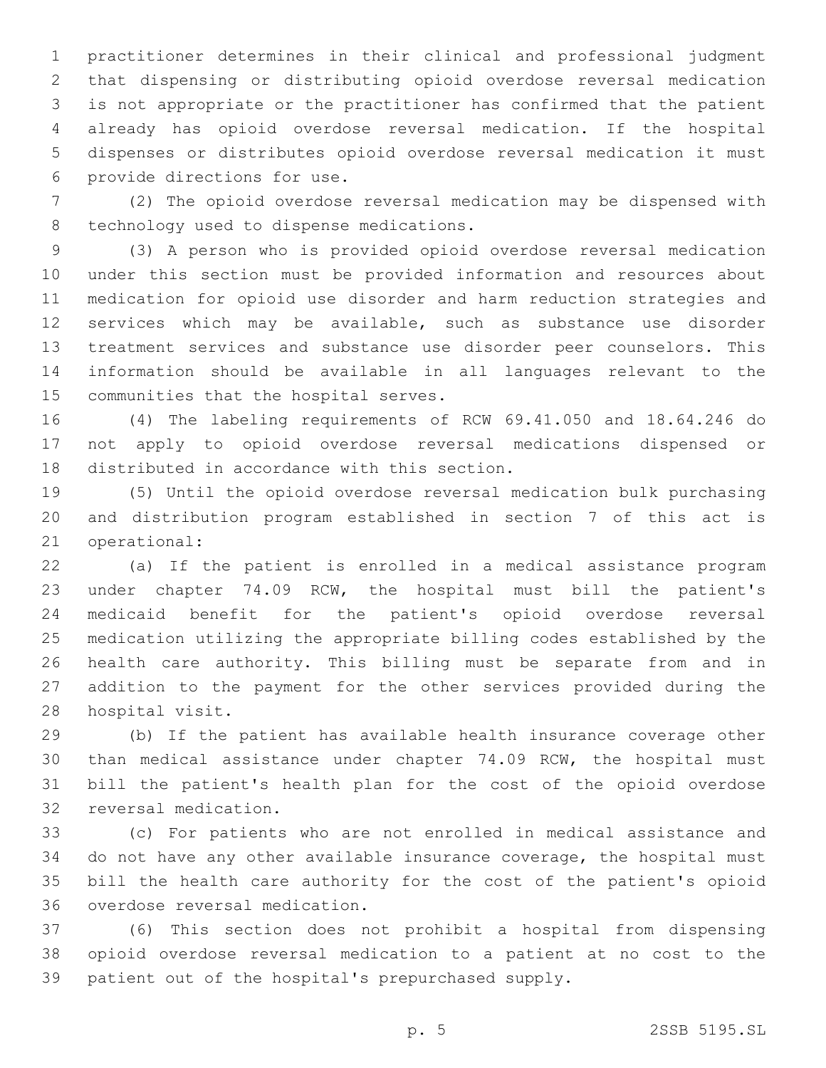practitioner determines in their clinical and professional judgment that dispensing or distributing opioid overdose reversal medication is not appropriate or the practitioner has confirmed that the patient already has opioid overdose reversal medication. If the hospital dispenses or distributes opioid overdose reversal medication it must 6 provide directions for use.

 (2) The opioid overdose reversal medication may be dispensed with 8 technology used to dispense medications.

 (3) A person who is provided opioid overdose reversal medication under this section must be provided information and resources about medication for opioid use disorder and harm reduction strategies and services which may be available, such as substance use disorder treatment services and substance use disorder peer counselors. This information should be available in all languages relevant to the 15 communities that the hospital serves.

 (4) The labeling requirements of RCW 69.41.050 and 18.64.246 do not apply to opioid overdose reversal medications dispensed or 18 distributed in accordance with this section.

 (5) Until the opioid overdose reversal medication bulk purchasing and distribution program established in section 7 of this act is 21 operational:

 (a) If the patient is enrolled in a medical assistance program under chapter 74.09 RCW, the hospital must bill the patient's medicaid benefit for the patient's opioid overdose reversal medication utilizing the appropriate billing codes established by the health care authority. This billing must be separate from and in addition to the payment for the other services provided during the 28 hospital visit.

 (b) If the patient has available health insurance coverage other than medical assistance under chapter 74.09 RCW, the hospital must bill the patient's health plan for the cost of the opioid overdose 32 reversal medication.

 (c) For patients who are not enrolled in medical assistance and do not have any other available insurance coverage, the hospital must bill the health care authority for the cost of the patient's opioid 36 overdose reversal medication.

 (6) This section does not prohibit a hospital from dispensing opioid overdose reversal medication to a patient at no cost to the patient out of the hospital's prepurchased supply.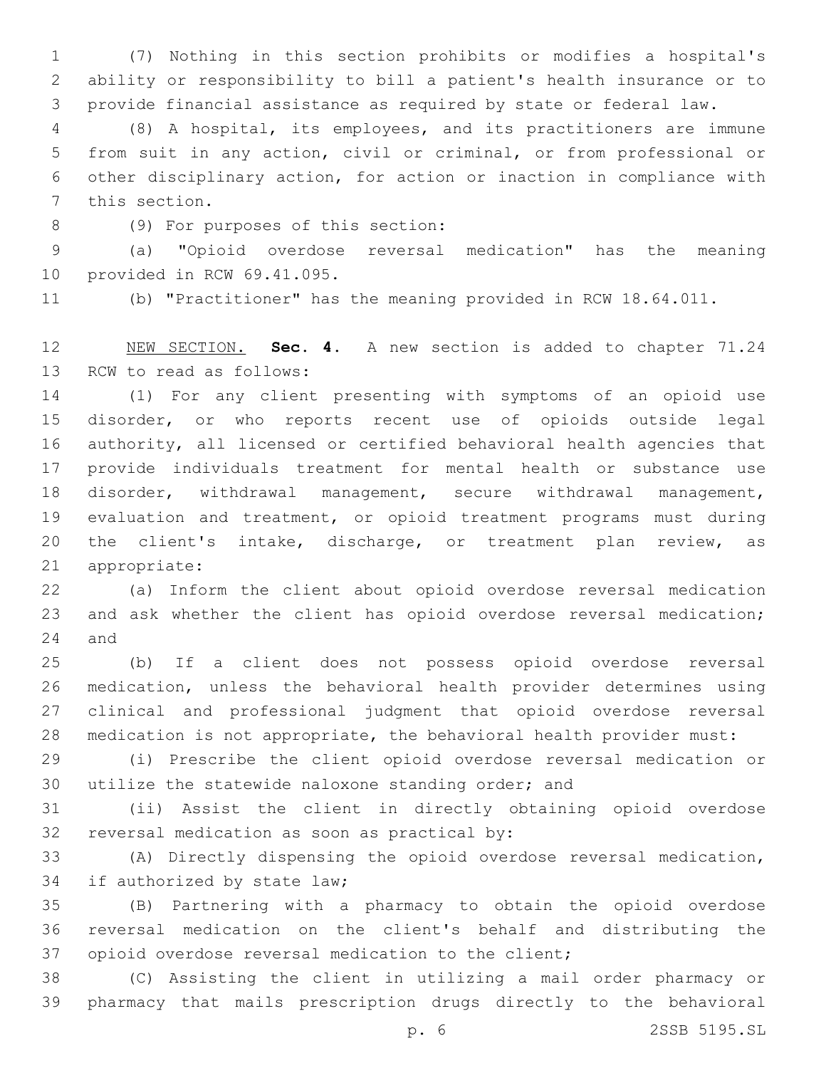(7) Nothing in this section prohibits or modifies a hospital's ability or responsibility to bill a patient's health insurance or to provide financial assistance as required by state or federal law.

 (8) A hospital, its employees, and its practitioners are immune from suit in any action, civil or criminal, or from professional or other disciplinary action, for action or inaction in compliance with 7 this section.

(9) For purposes of this section:8

 (a) "Opioid overdose reversal medication" has the meaning 10 provided in RCW 69.41.095.

(b) "Practitioner" has the meaning provided in RCW 18.64.011.

 NEW SECTION. **Sec. 4.** A new section is added to chapter 71.24 13 RCW to read as follows:

 (1) For any client presenting with symptoms of an opioid use disorder, or who reports recent use of opioids outside legal authority, all licensed or certified behavioral health agencies that provide individuals treatment for mental health or substance use disorder, withdrawal management, secure withdrawal management, evaluation and treatment, or opioid treatment programs must during 20 the client's intake, discharge, or treatment plan review, as 21 appropriate:

 (a) Inform the client about opioid overdose reversal medication and ask whether the client has opioid overdose reversal medication; 24 and

 (b) If a client does not possess opioid overdose reversal medication, unless the behavioral health provider determines using clinical and professional judgment that opioid overdose reversal medication is not appropriate, the behavioral health provider must:

 (i) Prescribe the client opioid overdose reversal medication or utilize the statewide naloxone standing order; and

 (ii) Assist the client in directly obtaining opioid overdose 32 reversal medication as soon as practical by:

 (A) Directly dispensing the opioid overdose reversal medication, 34 if authorized by state law;

 (B) Partnering with a pharmacy to obtain the opioid overdose reversal medication on the client's behalf and distributing the opioid overdose reversal medication to the client;

 (C) Assisting the client in utilizing a mail order pharmacy or pharmacy that mails prescription drugs directly to the behavioral

p. 6 2SSB 5195.SL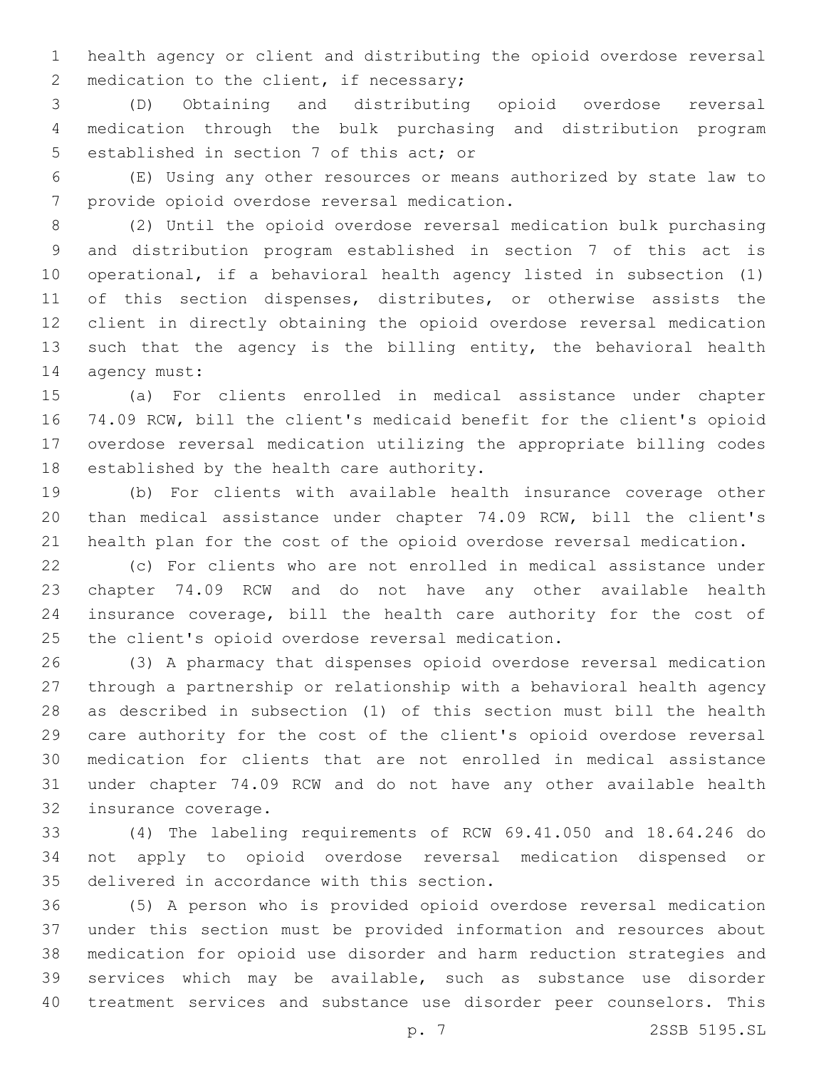health agency or client and distributing the opioid overdose reversal 2 medication to the client, if necessary;

 (D) Obtaining and distributing opioid overdose reversal medication through the bulk purchasing and distribution program 5 established in section 7 of this act; or

 (E) Using any other resources or means authorized by state law to 7 provide opioid overdose reversal medication.

 (2) Until the opioid overdose reversal medication bulk purchasing and distribution program established in section 7 of this act is operational, if a behavioral health agency listed in subsection (1) 11 of this section dispenses, distributes, or otherwise assists the client in directly obtaining the opioid overdose reversal medication 13 such that the agency is the billing entity, the behavioral health 14 agency must:

 (a) For clients enrolled in medical assistance under chapter 74.09 RCW, bill the client's medicaid benefit for the client's opioid overdose reversal medication utilizing the appropriate billing codes 18 established by the health care authority.

 (b) For clients with available health insurance coverage other than medical assistance under chapter 74.09 RCW, bill the client's health plan for the cost of the opioid overdose reversal medication.

 (c) For clients who are not enrolled in medical assistance under chapter 74.09 RCW and do not have any other available health insurance coverage, bill the health care authority for the cost of 25 the client's opioid overdose reversal medication.

 (3) A pharmacy that dispenses opioid overdose reversal medication through a partnership or relationship with a behavioral health agency as described in subsection (1) of this section must bill the health care authority for the cost of the client's opioid overdose reversal medication for clients that are not enrolled in medical assistance under chapter 74.09 RCW and do not have any other available health 32 insurance coverage.

 (4) The labeling requirements of RCW 69.41.050 and 18.64.246 do not apply to opioid overdose reversal medication dispensed or 35 delivered in accordance with this section.

 (5) A person who is provided opioid overdose reversal medication under this section must be provided information and resources about medication for opioid use disorder and harm reduction strategies and services which may be available, such as substance use disorder treatment services and substance use disorder peer counselors. This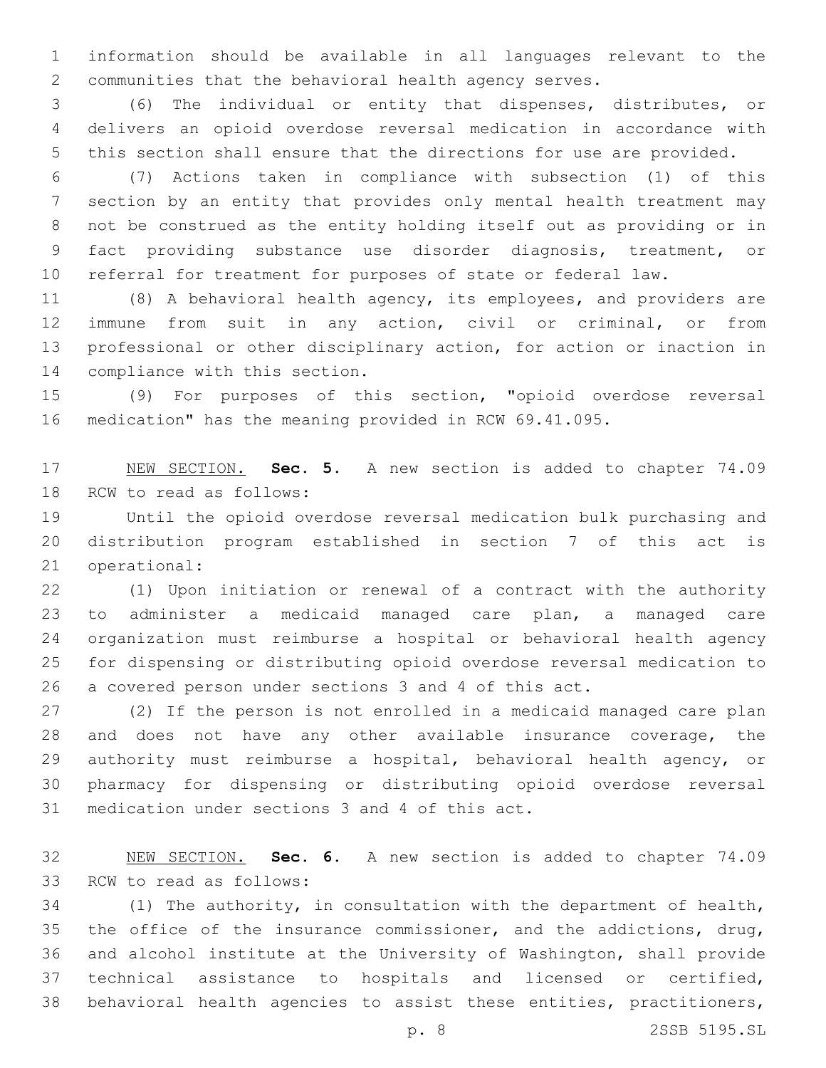information should be available in all languages relevant to the communities that the behavioral health agency serves.

 (6) The individual or entity that dispenses, distributes, or delivers an opioid overdose reversal medication in accordance with this section shall ensure that the directions for use are provided.

 (7) Actions taken in compliance with subsection (1) of this section by an entity that provides only mental health treatment may not be construed as the entity holding itself out as providing or in fact providing substance use disorder diagnosis, treatment, or referral for treatment for purposes of state or federal law.

 (8) A behavioral health agency, its employees, and providers are immune from suit in any action, civil or criminal, or from professional or other disciplinary action, for action or inaction in 14 compliance with this section.

 (9) For purposes of this section, "opioid overdose reversal medication" has the meaning provided in RCW 69.41.095.

 NEW SECTION. **Sec. 5.** A new section is added to chapter 74.09 18 RCW to read as follows:

 Until the opioid overdose reversal medication bulk purchasing and distribution program established in section 7 of this act is 21 operational:

 (1) Upon initiation or renewal of a contract with the authority to administer a medicaid managed care plan, a managed care organization must reimburse a hospital or behavioral health agency for dispensing or distributing opioid overdose reversal medication to a covered person under sections 3 and 4 of this act.

 (2) If the person is not enrolled in a medicaid managed care plan and does not have any other available insurance coverage, the authority must reimburse a hospital, behavioral health agency, or pharmacy for dispensing or distributing opioid overdose reversal 31 medication under sections 3 and 4 of this act.

 NEW SECTION. **Sec. 6.** A new section is added to chapter 74.09 33 RCW to read as follows:

 (1) The authority, in consultation with the department of health, the office of the insurance commissioner, and the addictions, drug, and alcohol institute at the University of Washington, shall provide technical assistance to hospitals and licensed or certified, behavioral health agencies to assist these entities, practitioners,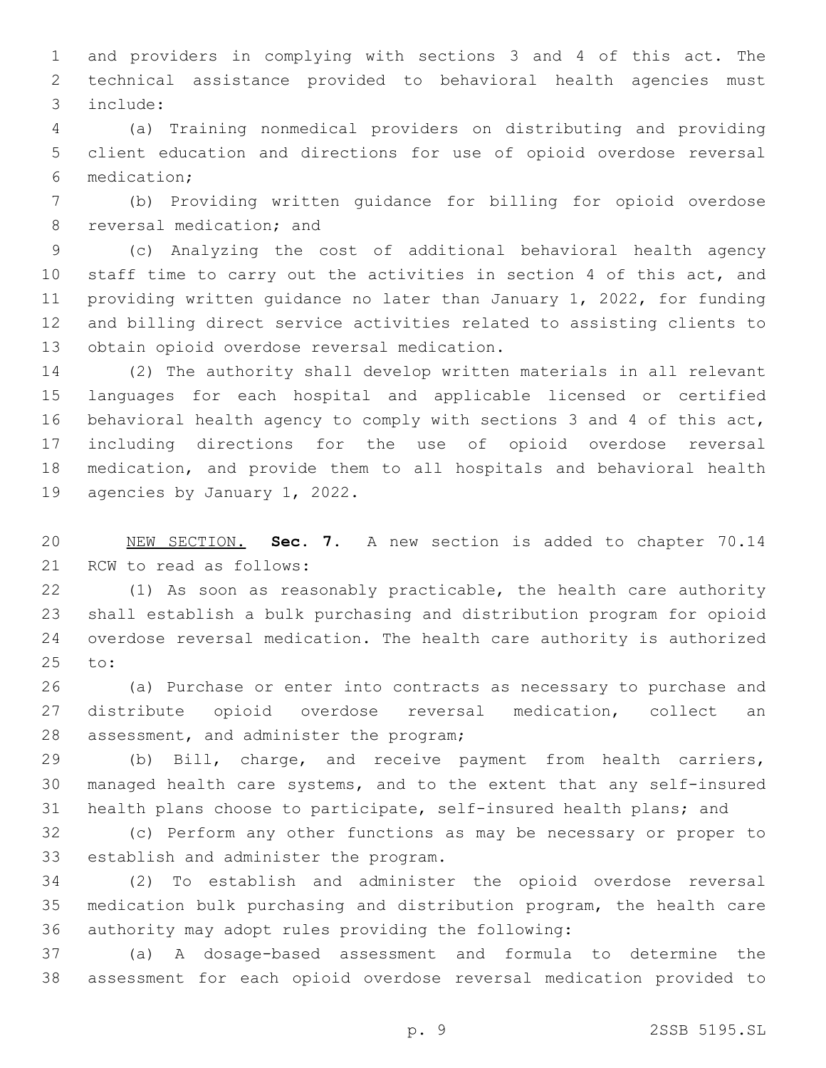and providers in complying with sections 3 and 4 of this act. The technical assistance provided to behavioral health agencies must include:3

 (a) Training nonmedical providers on distributing and providing client education and directions for use of opioid overdose reversal medication;6

 (b) Providing written guidance for billing for opioid overdose 8 reversal medication; and

 (c) Analyzing the cost of additional behavioral health agency staff time to carry out the activities in section 4 of this act, and providing written guidance no later than January 1, 2022, for funding and billing direct service activities related to assisting clients to 13 obtain opioid overdose reversal medication.

 (2) The authority shall develop written materials in all relevant languages for each hospital and applicable licensed or certified behavioral health agency to comply with sections 3 and 4 of this act, including directions for the use of opioid overdose reversal medication, and provide them to all hospitals and behavioral health 19 agencies by January 1, 2022.

 NEW SECTION. **Sec. 7.** A new section is added to chapter 70.14 21 RCW to read as follows:

 (1) As soon as reasonably practicable, the health care authority shall establish a bulk purchasing and distribution program for opioid overdose reversal medication. The health care authority is authorized 25 to:

 (a) Purchase or enter into contracts as necessary to purchase and distribute opioid overdose reversal medication, collect an 28 assessment, and administer the program;

 (b) Bill, charge, and receive payment from health carriers, managed health care systems, and to the extent that any self-insured health plans choose to participate, self-insured health plans; and

 (c) Perform any other functions as may be necessary or proper to 33 establish and administer the program.

 (2) To establish and administer the opioid overdose reversal medication bulk purchasing and distribution program, the health care authority may adopt rules providing the following:

 (a) A dosage-based assessment and formula to determine the assessment for each opioid overdose reversal medication provided to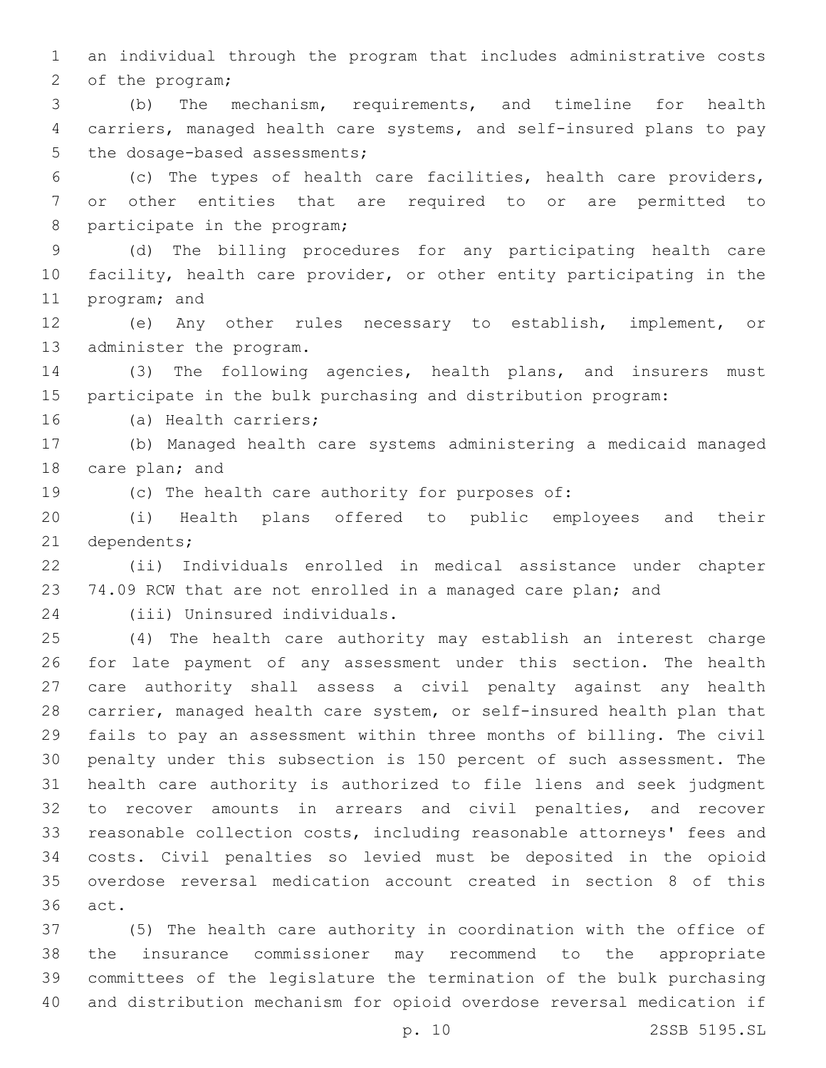an individual through the program that includes administrative costs 2 of the program;

 (b) The mechanism, requirements, and timeline for health carriers, managed health care systems, and self-insured plans to pay 5 the dosage-based assessments;

 (c) The types of health care facilities, health care providers, or other entities that are required to or are permitted to 8 participate in the program;

 (d) The billing procedures for any participating health care facility, health care provider, or other entity participating in the 11 program; and

 (e) Any other rules necessary to establish, implement, or 13 administer the program.

 (3) The following agencies, health plans, and insurers must participate in the bulk purchasing and distribution program:

16 (a) Health carriers;

 (b) Managed health care systems administering a medicaid managed 18 care plan; and

(c) The health care authority for purposes of:

 (i) Health plans offered to public employees and their 21 dependents;

 (ii) Individuals enrolled in medical assistance under chapter 23 74.09 RCW that are not enrolled in a managed care plan; and

(iii) Uninsured individuals.24

 (4) The health care authority may establish an interest charge for late payment of any assessment under this section. The health care authority shall assess a civil penalty against any health carrier, managed health care system, or self-insured health plan that fails to pay an assessment within three months of billing. The civil penalty under this subsection is 150 percent of such assessment. The health care authority is authorized to file liens and seek judgment to recover amounts in arrears and civil penalties, and recover reasonable collection costs, including reasonable attorneys' fees and costs. Civil penalties so levied must be deposited in the opioid overdose reversal medication account created in section 8 of this 36 act.

 (5) The health care authority in coordination with the office of the insurance commissioner may recommend to the appropriate committees of the legislature the termination of the bulk purchasing and distribution mechanism for opioid overdose reversal medication if

p. 10 2SSB 5195.SL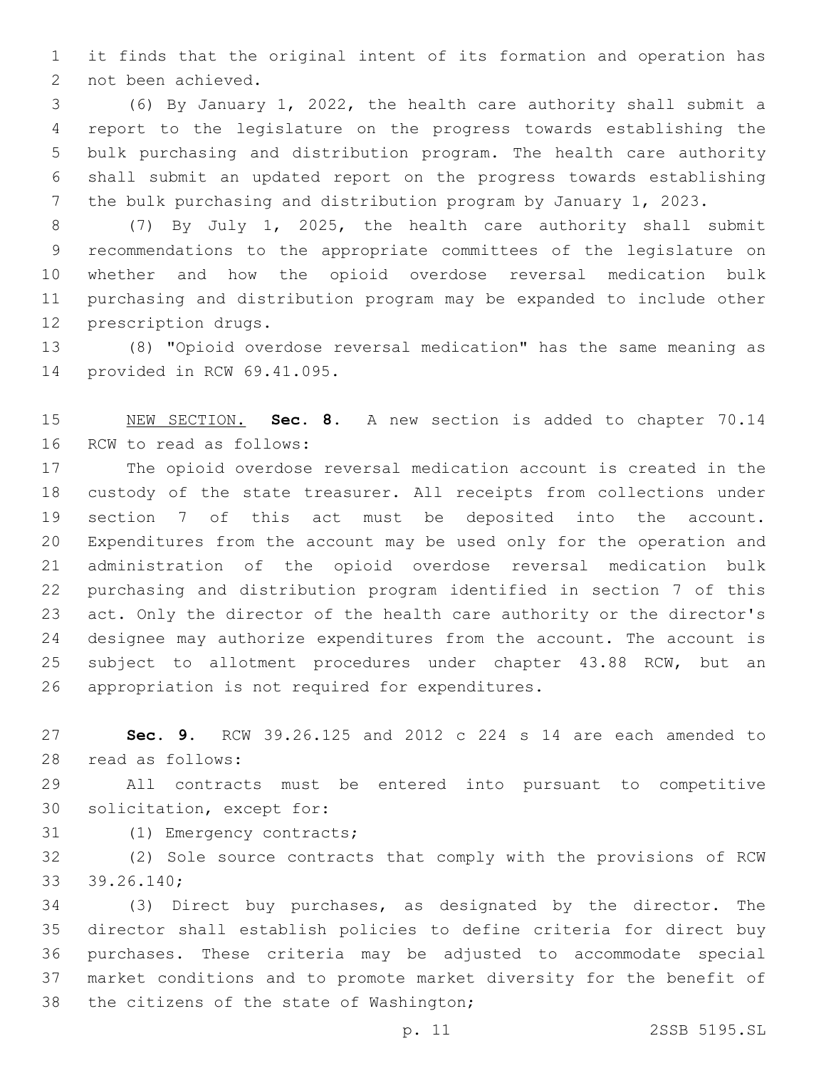it finds that the original intent of its formation and operation has 2 not been achieved.

 (6) By January 1, 2022, the health care authority shall submit a report to the legislature on the progress towards establishing the bulk purchasing and distribution program. The health care authority shall submit an updated report on the progress towards establishing the bulk purchasing and distribution program by January 1, 2023.

 (7) By July 1, 2025, the health care authority shall submit recommendations to the appropriate committees of the legislature on whether and how the opioid overdose reversal medication bulk purchasing and distribution program may be expanded to include other 12 prescription drugs.

 (8) "Opioid overdose reversal medication" has the same meaning as 14 provided in RCW 69.41.095.

 NEW SECTION. **Sec. 8.** A new section is added to chapter 70.14 16 RCW to read as follows:

 The opioid overdose reversal medication account is created in the custody of the state treasurer. All receipts from collections under section 7 of this act must be deposited into the account. Expenditures from the account may be used only for the operation and administration of the opioid overdose reversal medication bulk purchasing and distribution program identified in section 7 of this act. Only the director of the health care authority or the director's designee may authorize expenditures from the account. The account is subject to allotment procedures under chapter 43.88 RCW, but an 26 appropriation is not required for expenditures.

 **Sec. 9.** RCW 39.26.125 and 2012 c 224 s 14 are each amended to 28 read as follows:

 All contracts must be entered into pursuant to competitive 30 solicitation, except for:

31 (1) Emergency contracts;

 (2) Sole source contracts that comply with the provisions of RCW 39.26.140;33

 (3) Direct buy purchases, as designated by the director. The director shall establish policies to define criteria for direct buy purchases. These criteria may be adjusted to accommodate special market conditions and to promote market diversity for the benefit of 38 the citizens of the state of Washington;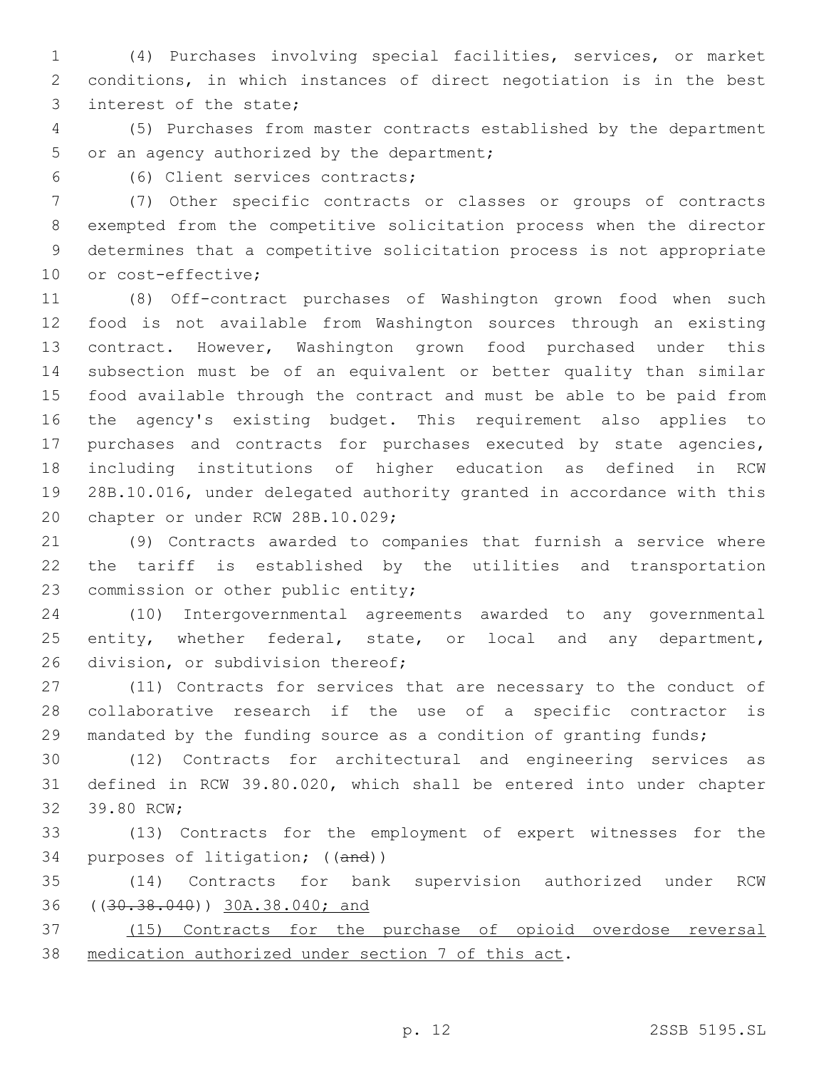(4) Purchases involving special facilities, services, or market conditions, in which instances of direct negotiation is in the best 3 interest of the state;

 (5) Purchases from master contracts established by the department 5 or an agency authorized by the department;

(6) Client services contracts;6

 (7) Other specific contracts or classes or groups of contracts exempted from the competitive solicitation process when the director determines that a competitive solicitation process is not appropriate 10 or cost-effective;

 (8) Off-contract purchases of Washington grown food when such food is not available from Washington sources through an existing contract. However, Washington grown food purchased under this subsection must be of an equivalent or better quality than similar food available through the contract and must be able to be paid from the agency's existing budget. This requirement also applies to purchases and contracts for purchases executed by state agencies, including institutions of higher education as defined in RCW 28B.10.016, under delegated authority granted in accordance with this 20 chapter or under RCW 28B.10.029;

 (9) Contracts awarded to companies that furnish a service where the tariff is established by the utilities and transportation 23 commission or other public entity;

 (10) Intergovernmental agreements awarded to any governmental 25 entity, whether federal, state, or local and any department, 26 division, or subdivision thereof;

 (11) Contracts for services that are necessary to the conduct of collaborative research if the use of a specific contractor is 29 mandated by the funding source as a condition of granting funds;

 (12) Contracts for architectural and engineering services as defined in RCW 39.80.020, which shall be entered into under chapter 32 39.80 RCW:

 (13) Contracts for the employment of expert witnesses for the purposes of litigation; ((and))

 (14) Contracts for bank supervision authorized under RCW ((30.38.040)) 30A.38.040; and

 (15) Contracts for the purchase of opioid overdose reversal medication authorized under section 7 of this act.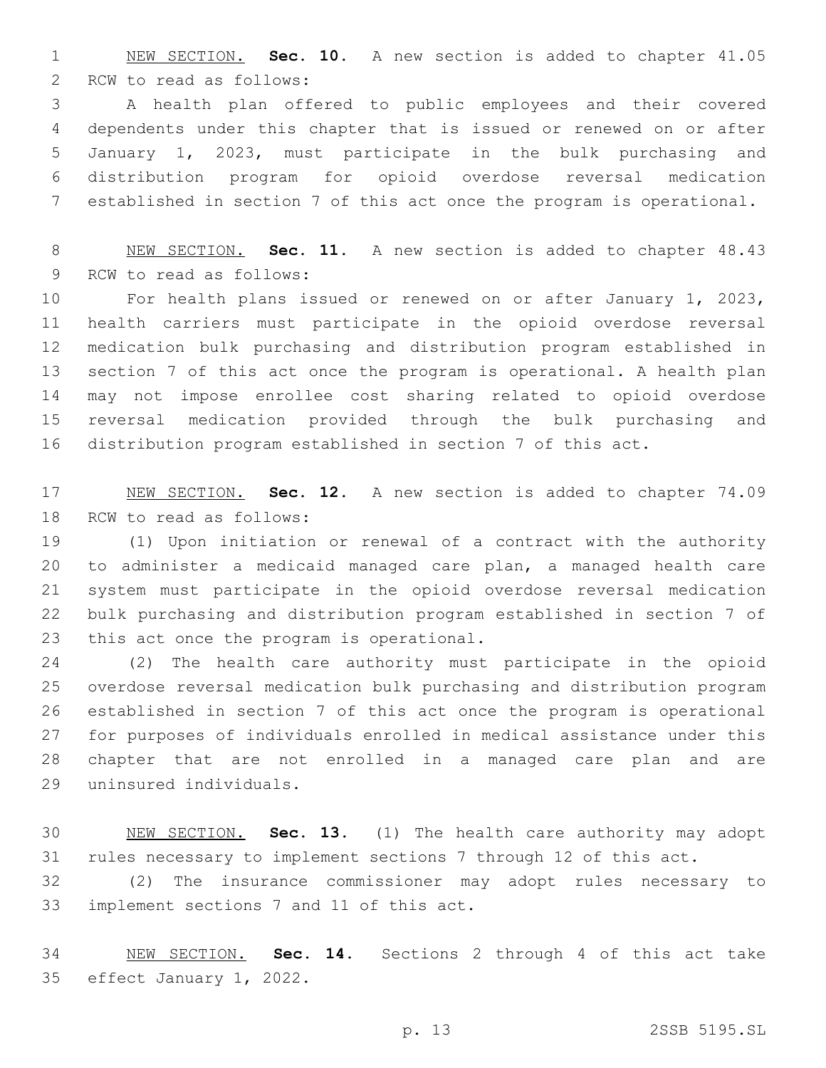NEW SECTION. **Sec. 10.** A new section is added to chapter 41.05 2 RCW to read as follows:

 A health plan offered to public employees and their covered dependents under this chapter that is issued or renewed on or after January 1, 2023, must participate in the bulk purchasing and distribution program for opioid overdose reversal medication established in section 7 of this act once the program is operational.

 NEW SECTION. **Sec. 11.** A new section is added to chapter 48.43 9 RCW to read as follows:

 For health plans issued or renewed on or after January 1, 2023, health carriers must participate in the opioid overdose reversal medication bulk purchasing and distribution program established in section 7 of this act once the program is operational. A health plan may not impose enrollee cost sharing related to opioid overdose reversal medication provided through the bulk purchasing and distribution program established in section 7 of this act.

 NEW SECTION. **Sec. 12.** A new section is added to chapter 74.09 18 RCW to read as follows:

 (1) Upon initiation or renewal of a contract with the authority to administer a medicaid managed care plan, a managed health care system must participate in the opioid overdose reversal medication bulk purchasing and distribution program established in section 7 of 23 this act once the program is operational.

 (2) The health care authority must participate in the opioid overdose reversal medication bulk purchasing and distribution program established in section 7 of this act once the program is operational for purposes of individuals enrolled in medical assistance under this chapter that are not enrolled in a managed care plan and are uninsured individuals.29

 NEW SECTION. **Sec. 13.** (1) The health care authority may adopt rules necessary to implement sections 7 through 12 of this act.

 (2) The insurance commissioner may adopt rules necessary to 33 implement sections 7 and 11 of this act.

 NEW SECTION. **Sec. 14.** Sections 2 through 4 of this act take effect January 1, 2022.